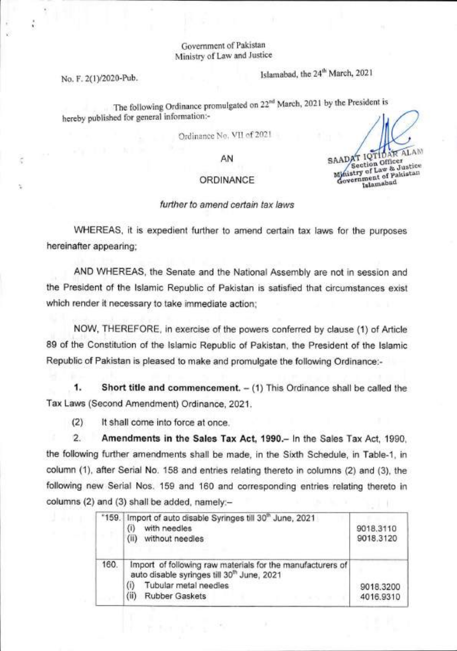## Government of Pakistan Ministry of Law and Justice

No. F. 2(1)/2020-Pub. Islamabad, the 24<sup>th</sup> March, 2021

The following Ordinance promulgated on 22<sup>nd</sup> March, 2021 by the President is hereby published for general information:-

Ordinance No. VII of 2021

AN

## ORDINANCE

## further to amend certain tax laws

WHEREAS, it is expedient further to amend certain tax laws for the purposes hereinafter appearing;

AND WHEREAS, the Senate and the National Assembly are not in session and the President of the Islamic Republic of Pakistan is satisfied that circumstances exist which render it necessary to take immediate action;

NOW, THEREFORE, in exercise of the powers conferred by clause (1) of Article 89 of the Constitution of the Islamic Republic of Pakistan, the President of the Islamic Republic of Pakistan is pleased to make and promulgate the following Ordinance:-

1. **Short title and commencement. —** (1) This Ordinance shall be called the Tax Laws (Second Amendment) Ordinance, 2021.

(2) It shall come into force at once.

 $2$ **Amendments in the Sales Tax Act, 1990.—** In the Sales Tax Act, 1990, the following further amendments shall be made, in the Sixth Schedule, in Table-1, in column (1), after Serial No. 158 and entries relating thereto in columns (2) and (3), the following new Serial Nos. 159 and 160 and corresponding entries relating thereto in columns (2) and (3) shall be added, namely:—

| "159. | Import of auto disable Syringes till 30 <sup>th</sup> June, 2021<br>with needles<br>$\left( i\right)$<br>(ii) without needles                                                                   | 9018.3110<br>9018.3120 |
|-------|-------------------------------------------------------------------------------------------------------------------------------------------------------------------------------------------------|------------------------|
| 160.  | Import of following raw materials for the manufacturers of<br>auto disable syringes till 30 <sup>m</sup> June, 2021<br>Tubular metal needles<br>$\binom{n}{k}$<br>(ii)<br><b>Rubber Gaskets</b> | 9018.3200<br>4016.9310 |

SAADAT IQTIDAR ALAM Section Office<br>
stry of Law & Justice Ministry of Pakistan nment of Pakistan<br>Islamabad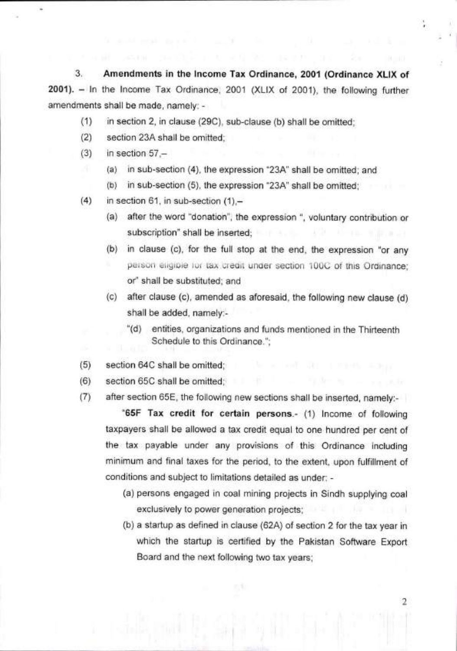**3. Amendments in the Income Tax Ordinance, 2001 (Ordinance XLIX of 2001). — In the Income Tax Ordinance, 2001 (XLIX of 2001), the following further amendments shall be made, namely: -** 

- **(1) in section 2, in clause (29C), sub-clause (b) shall be omitted;**
- **(2) section 23A shall be omitted;**
- **(3) in section 57,—** 
	- $(a)$ in sub-section (4), the expression "23A" shall be omitted; and
		- **in sub-section (5), the expression "23A" shall be omitted;**   $(b)$
- **(4) in section 61, in sub-section** (1),
	- **after the word "donation", the expression ", voluntary contribution or**  AND ADVISE MARCHINE **subscription" shall be inserted;**
	- **in clause (c), for the full stop at the end, the expression "or any**  person eligible for tax credit under section 100C of this Ordinance; **or" shall be substituted; and**
	- **after clause (c), amended as aforesaid, the following new clause (d) shall be added, namely::.** 
		- **"(d) entities, organizations and funds mentioned in the Thirteenth Schedule to this Ordinance.";**
- **(5) section 64C shall be omitted;**
- **(6) section 65C shall be omitted;**
- **(7) after section 65E, the following new sections shall be inserted, namely:-**

**"65F Tax credit for certain persons.- (1) Income of following taxpayers shall be allowed a tax credit equal to one hundred per cent of the tax payable under any provisions of this Ordinance including minimum and final taxes for the period, to the extent, upon fulfillment of conditions and subject to limitations detailed as under: -** 

- **persons engaged in coal mining projects in Sindh** supplying coal exclusively to power generation projects;
- (b) a startup as defined in clause (62A) of section 2 for the tax year in **which the startup is** certified by the Pakistan **Software Export Board and the next following two tax years;**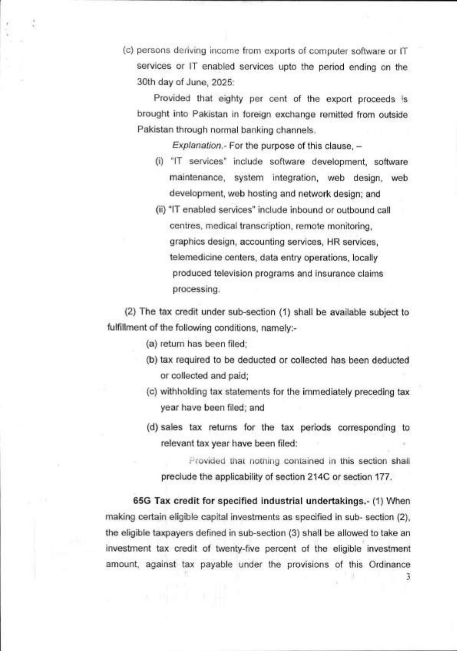(c) persons deriving income from exports of computer software or IT services or IT enabled services upto the period ending on the 30th day of June, 2025:

Provided that eighty per cent of the export proceeds is brought into Pakistan in foreign exchange remitted from outside Pakistan through normal banking channels.

Explanation.- For the purpose of this clause, —

- "IT services" include software development, software maintenance, system integration, web design, web development, web hosting and network design; and
- "IT enabled services" include inbound or outbound call centres, medical transcription, remote monitoring, graphics design, accounting services, HR services, telemedicine centers, data entry operations, locally produced television programs and insurance claims processing.

(2) The tax credit under sub-section (1) shall be available subject to fulfillment of the following conditions, namely:-

(a) return has been filed;

- (b) tax required to be deducted or collected has been deducted or collected and paid;
- (c) withholding tax statements for the immediately preceding tax year have been filed; and
- (d) sales tax returns for the tax periods corresponding to relevant tax year have been filed:

Provided that nothing contained in this section shall preclude the applicability of section 214C or section 177.

**65G Tax credit for specified industrial undertakings.-** (1) When making certain eligible capital investments as specified in sub- section (2), the eligible taxpayers defined in sub-section (3) shall be allowed to take an investment tax credit of twenty-five percent of the eligible investment amount, against tax payable under the provisions of this Ordinance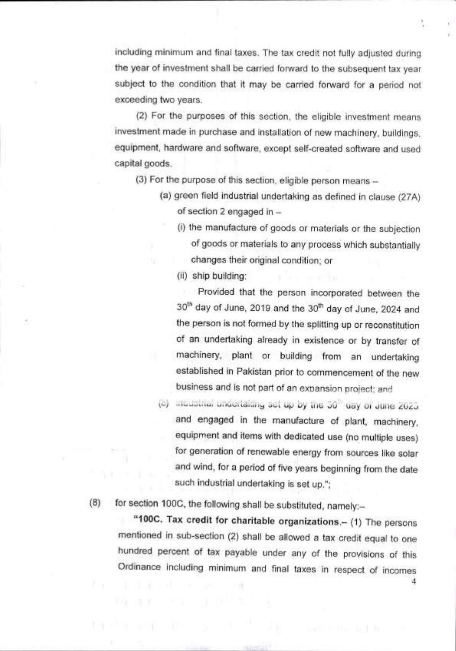including minimum and final taxes. The tax credit not fully adjusted during the year of investment shall be carried forward to the subsequent tax year subject to the condition that it may be carried forward for a period not exceeding two years.

(2) For the purposes of this section, the eligible investment means investment made in purchase and installation of new machinery, buildings, equipment, hardware and software, except self-created software and used capital goods.

- (3) For the purpose of this section, eligible person means -
	- (a) green field industrial undertaking as defined in clause (27A) of section 2 engaged in —
		- (i) the manufacture of goods or materials or the subjection of goods or materials to any process which substantially changes their original condition; or

ship building:

Provided that the person incorporated between the 30<sup>th</sup> day of June, 2019 and the 30<sup>th</sup> day of June, 2024 and the person is not formed by the splitting up or reconstitution of an undertaking already in existence or by transfer of machinery, plant or building from an undertaking established in Pakistan prior to commencement of the new business and is not part of an expansion project; and

incustinal undertaiding set up by the 30<sup>th</sup> day of June 2023.  $(1)$ and engaged in the manufacture of plant, machinery, equipment and items with dedicated use (no multiple uses) for generation of renewable energy from sources like solar and wind, for a period of five years beginning from the date such industrial undertaking is set up.";

4

(8) for section 100C, the following shall be substituted, namely:—

**"100C. Tax credit for charitable organizations.—** (1) The persons mentioned in sub-section (2) shall be allowed a tax credit equal to one hundred percent of tax payable under any of the provisions of this Ordinance including minimum and final taxes in respect of incomes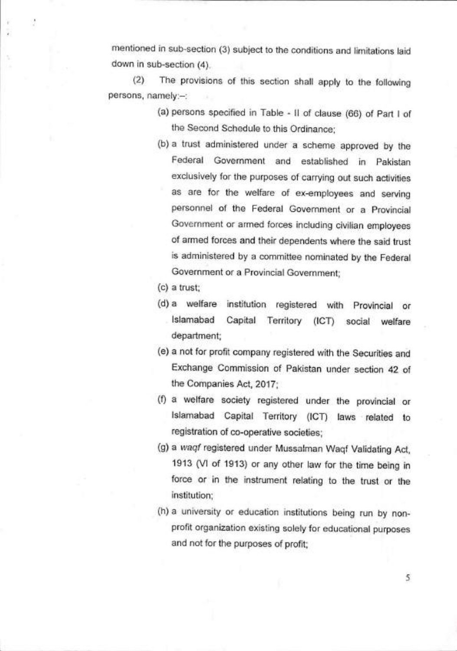mentioned in sub-section (3) subject to the conditions and limitations laid down in sub-section (4).

(2) The provisions of this section shall apply to the following persons, namely:—:

- persons specified in Table II of clause (66) of Part I of the Second Schedule to this Ordinance;
- (b) a trust administered under a scheme approved by the Federal Government and established in Pakistan exclusively for the purposes of carrying out such activities as are for the welfare of ex-employees and serving personnel of the Federal Government or a Provincial Government or armed forces including civilian employees of armed forces and their dependents where the said trust is administered by a committee nominated by the Federal Government or a Provincial Government;
- a trust;
- (d) a welfare institution registered with Provincial or Islamabad Capital Territory (ICT) social welfare department;
- a not for profit company registered with the Securities and Exchange Commission of Pakistan under section 42 of the Companies Act, 2017;
- a welfare society registered under the provincial or Islamabad Capital Territory (ICT) laws related to registration of co-operative societies;
- (g) a waqf registered under Mussalman Waqf Validating Act, 1913 (VI of 1913) or any other law for the time being in force or in the instrument relating to the trust or the institution;
- (h) a university or education institutions being run by nonprofit organization existing solely for educational purposes and not for the purposes of profit;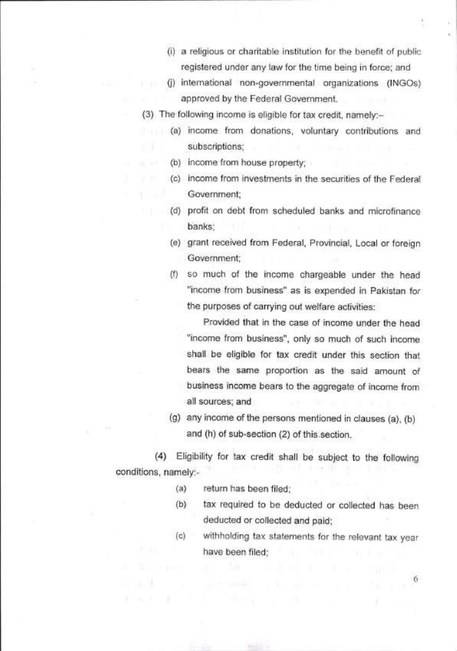- a religious or charitable institution for the benefit of public registered under any law for the time being in force; and
- (i) international non-governmental organizations (INGOs) approved by the Federal Government.
- (3) The following income is eligible for tax credit, namely:—
- income from donations, voluntary contributions and subscriptions;
- income from house property;
	- (c) income from investments in the securities of the Federal Government;
		- (d) profit on debt from scheduled banks and microfinance banks;
		- grant received from Federal, Provincial, Local or foreign Government;
		- (1) so much of the income chargeable under the head "income from business" as is expended in Pakistan for the purposes of carrying out welfare activities:

Provided that in the case of income under the head "income from business", only so much of such income shall be eligible for tax credit under this section that bears the same proportion as the said amount of business income bears to the aggregate of income from all sources; and

(g) any income of the persons mentioned in clauses (a), (b) and (h) of sub-section (2) of this section.

(4) Eligibility for tax credit shall be subject to the following conditions, namely:-

- return has been filed;  $(a)$
- $(b)$ tax required to be deducted or collected has been deducted or collected and paid;
- withholding tax statements for the relevant tax year  $(c)$ have been filed;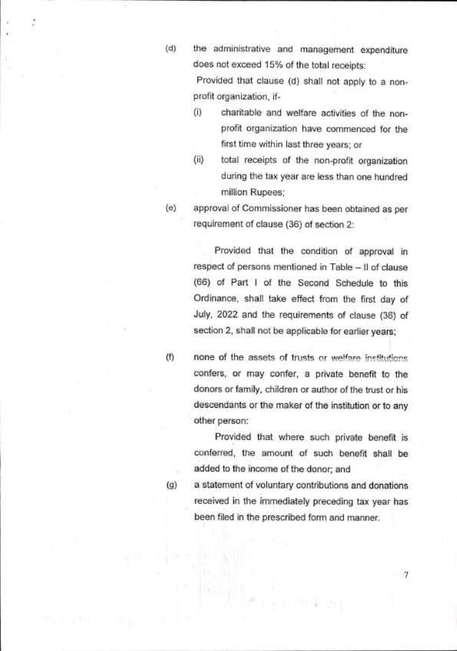the administrative and management expenditure  $(d)$ does not exceed 15% of the total receipts:

> Provided that clause (d) shall not apply to a nonprofit organization, if-

- (I) charitable and welfare activities of the nonprofit organization have commenced for the first time within last three years; or
- (ii) total receipts of the non-profit organization during the tax year are less than one hundred million Rupees;
- approval of Commissioner has been obtained as per  $(e)$ requirement of clause (36) of section 2:

Provided that the condition of approval in respect of persons mentioned in Table — II of clause (66) of Part I of the Second Schedule to this Ordinance, shall take effect from the first day of July, 2022 and the requirements of clause (36) of section 2, shall not be applicable for earlier years;

 $(f)$ none of the assets of trusts or welfare institutions. confers, or may confer, a private benefit to the donors or family, children or author of the trust or his descendants or the maker of the institution or to any other person:

> Provided that where such private benefit is conferred, the amount of such benefit shall be added to the income of the donor; and

 $(q)$ 

a statement of voluntary contributions and donations received in the immediately preceding tax year has been filed in the prescribed form and manner.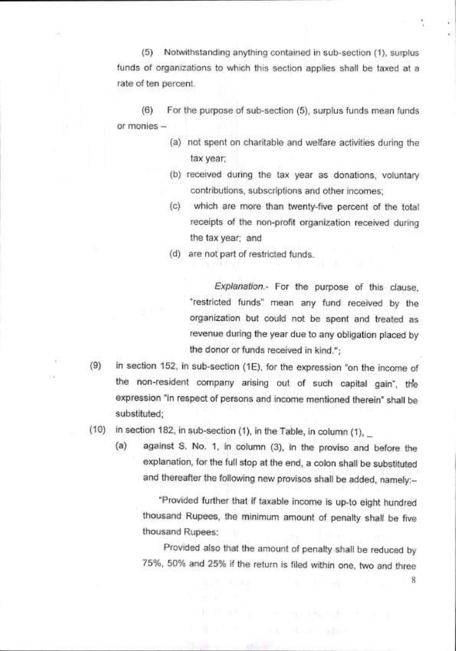Notwithstanding anything contained in sub-section (1), surplus funds of organizations to which this section applies shall be taxed at a rate of ten percent.

 $(6)$ For the purpose of sub-section (5), surplus funds mean funds or monies —

- (a) not spent on charitable and welfare activities during the tax year;
- (b) received during the tax year as donations, voluntary contributions, subscriptions and other incomes;
- $(c)$ which are more than twenty-five percent of the total receipts of the non-profit organization received during the tax year; and
- (d) are not part of restricted funds.

Explanation.- For the purpose of this clause, "restricted funds" mean any fund received by the organization but could not be spent and treated as revenue during the year due to any obligation placed by the donor or funds received in kind.";

in section 152, in sub-section (1E), for the expression "on the income of  $(9)$ the non-resident company arising out of such capital gain", the expression "in respect of persons and income mentioned therein" shall be substituted;

in section 182, in sub-section (1), in the Table, in column (1),  $\_$  $(10)$ 

(a) against S. No. 1, in column (3), in the proviso and before the explanation, for the full stop at the end, a colon shall be substituted and thereafter the following new provisos shall be added, namely:—

"Provided further that if taxable income is up-to eight hundred thousand Rupees, the minimum amount of penalty shall be five thousand Rupees:

Provided also that the amount of penalty shall be reduced by 75%, 50% and 25% if the return is filed within one, two and three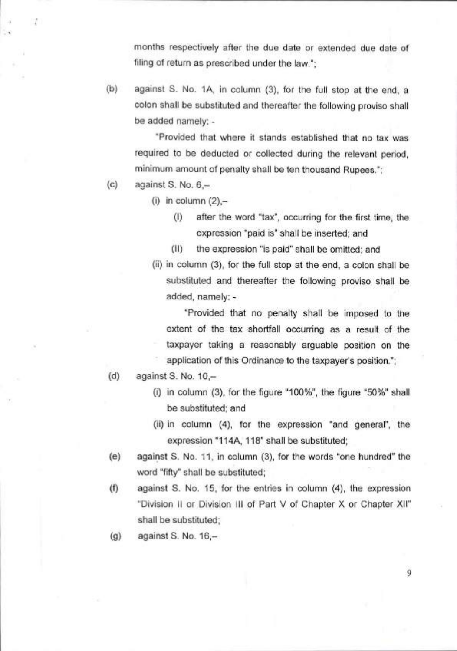months respectively after the due date or extended due date of filing of return as prescribed under the law.";

(b) against S. No. 1A, in column (3), for the full stop at the end, a colon shall be substituted and thereafter the following proviso shall be added namely: -

"Provided that where it stands established that no tax was required to be deducted or collected during the relevant period, minimum amount of penalty shall be ten thousand Rupees.";

 $(c)$  against S. No.  $6, -$ 

7

 $(i)$  in column  $(2)$ ,-

- (1) after the word "tax", occurring for the first time, the expression "paid is" shall be inserted; and
- (II) the expression "is paid" shall be omitted; and
- (ii) in column (3), for the full stop at the end, a colon shall be substituted and thereafter the following proviso shall be added, namely: -

"Provided that no penalty shall be imposed to the extent of the tax shortfall occurring as a result of the taxpayer taking a reasonably arguable position on the application of this Ordinance to the taxpayer's position.";

- (d) against S. No. 10,—
	- (i) in column (3), for the figure "100%", the figure "50%" shall be substituted; and
	- in column (4), for the expression "and general", the expression "114A, 118" shall be substituted;
- (e) against S. No. 11, in column (3), for the words "one hundred" the word "fifty" shall be substituted;
- $(1)$  against S. No. 15, for the entries in column  $(4)$ , the expression "Division II or Division III of Part V of Chapter X or Chapter XII" shall be substituted;
- $(q)$  against S. No. 16, $-$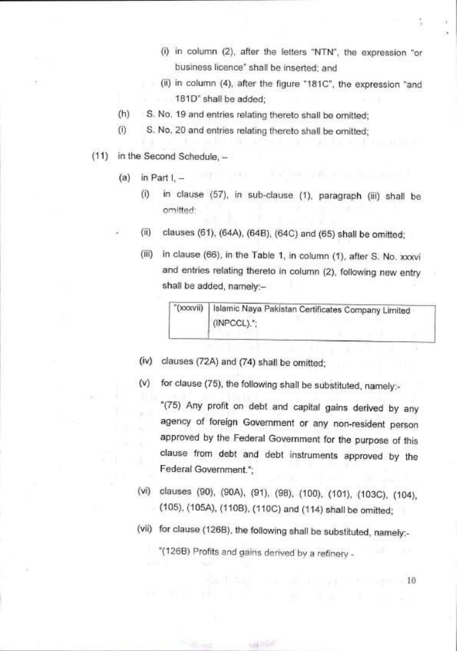- (i) in column (2), after the letters "NTN", the expression "or business licence" shall be inserted; and
- (H) in column (4), after the figure "181C", the expression "and 181D" shall be added;
- S. No. 19 and entries relating thereto shall be omitted;  $(h)$
- $(i)$ S. No. 20 and entries relating thereto shall be omitted;
- (11) in the Second Schedule,
	- $(a)$  in Part I,  $$ 
		- in clause (57), in sub-clause (1), paragraph (iii) shall be  $(i)$ omitted:
		- clauses (61), (64A), (64B), (64C) and (65) shall be omitted;  $(ii)$ 
			- in clause (66), in the Table 1, in column (1), after S. No. xxxvi  $(iii)$ and entries relating thereto in column (2), following new entry shall be added, namely:—

"(xxxvii) Islamic Naya Pakistan Certificates Company Limited (INPCCL).";

- clauses (72A) and (74) shall be omitted;  $(iv)$
- for clause (75), the following shall be substituted, namely:-  $(v)$

"(75) Any profit on debt and capital gains derived by any agency of foreign Government or any non-resident person approved by the Federal Government for the purpose of this clause from debt and debt instruments approved by the Federal Government.";

- clauses (90), (90A), (91), (98), (100), (101), (103C), (104), (105), (105A), (110B), (110C) and (114) shall be omitted;
- (vii) for clause (126B), the following shall be substituted, namely:-

"(126B) Profits and gains derived by a refinery -

**CONTRACTOR** 

220 100 00 000 000 100 000 100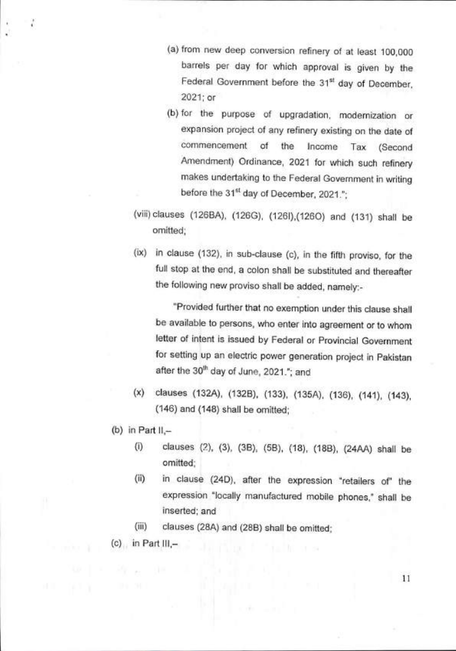- (a) from new deep conversion refinery of at least 100,000 barrels per day for which approval is given by the Federal Government before the 31<sup>st</sup> day of December, 2021; or
- (b) for the purpose of upgradation, modernization or expansion project of any refinery existing on the date of commencement of the Income Tax (Second Amendment) Ordinance, 2021 for which such refinery makes undertaking to the Federal Government in writing before the 31<sup>st</sup> day of December, 2021.";
- (viii) clauses (126BA), (126G), (126I),(126O) and (131) shall be omitted;
- (ix) in clause (132), in sub-clause (c), in the fifth proviso, for the full stop at the end, a colon shall be substituted and thereafter the following new proviso shall be added, namely:-

"Provided further that no exemption under this clause shall be available to persons, who enter into agreement or to whom letter of intent is issued by Federal or Provincial Government for setting up an electric power generation project in Pakistan after the 30<sup>th</sup> day of June, 2021."; and

- clauses (132A), (132B), (133), (135A), (136), (141), (143), (146) and (148) shall be omitted;
- (b) in Part  $II$ , $-$ 
	- $(i)$ clauses (2), (3), (3B), (5B), (13), (18B), (24AA) shall be omitted;
	- in clause (24D), after the expression "retailers of" the  $(ii)$ expression "locally manufactured mobile phones," shall be inserted; and
	- $(iii)$ clauses (28A) and (28B) shall be omitted;
- $(c)$  in Part III,-

and the count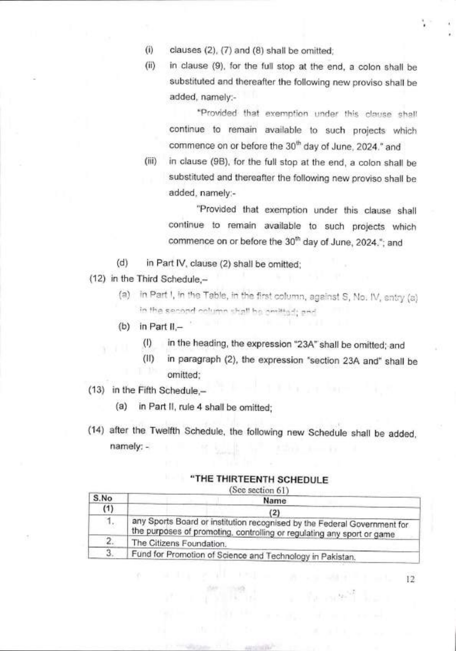- $(i)$ clauses (2), (7) and (8) shall be omitted;
- in clause (9), for the full stop at the end, a colon shall be  $(ii)$ substituted and thereafter the following new proviso shall be added, namely:-

"Provided that exemption under this clause shall continue to remain available to such projects which commence on or before the 30<sup>th</sup> day of June, 2024." and

(iii) in clause (9B), for the full stop at the end, a colon shall be substituted and thereafter the following new proviso shall be added, namely:-

"Provided that exemption under this clause shall continue to remain available to such projects which commence on or before the 30<sup>th</sup> day of June, 2024."; and

(d) in Part IV, clause (2) shall be omitted;

(12) in the Third Schedule,—

- in Part 1, in the Table, in the first column, against S, No. IV, entry (a) **in the second column shall be arritted; pro**
- $(b)$  in Part II,-
	- (I) in the heading, the expression "23A" shall be omitted; and
	- (II) in paragraph (2), the expression "section 23A and" shall be omitted;
- (13) in the Fifth Schedule,—
	- (a) in Part II, rule 4 shall be omitted;
- (14) after the Twelfth Schedule, the following new Schedule shall be added, namely: -

| "THE THIRTEENTH SCHEDULF |  |
|--------------------------|--|
|--------------------------|--|

| S.No | Name                                                                                                                                               |
|------|----------------------------------------------------------------------------------------------------------------------------------------------------|
| (1)  | (2)                                                                                                                                                |
| 1.   | any Sports Board or institution recognised by the Federal Government for<br>the purposes of promoting, controlling or regulating any sport or game |
| 2.   | The Citizens Foundation.                                                                                                                           |
| 3    | Fund for Promotion of Science and Technology in Pakistan.                                                                                          |

**Commentary**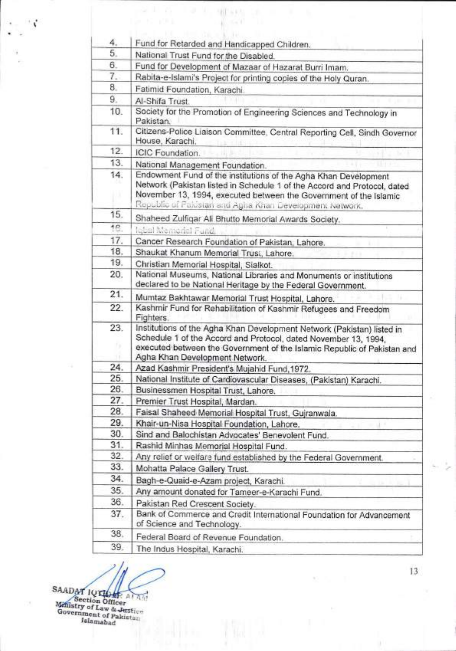| 4.  | Fund for Retarded and Handicapped Children.                                                                                                                                                                                                                                 |
|-----|-----------------------------------------------------------------------------------------------------------------------------------------------------------------------------------------------------------------------------------------------------------------------------|
| 5.  | National Trust Fund for the Disabled.                                                                                                                                                                                                                                       |
| 6.  | Fund for Development of Mazaar of Hazarat Burri Imam.                                                                                                                                                                                                                       |
| 7.  | Rabita-e-Islami's Project for printing copies of the Holy Quran.                                                                                                                                                                                                            |
| 8.  | Fatimid Foundation, Karachi.                                                                                                                                                                                                                                                |
| 9.  | Al-Shifa Trust.                                                                                                                                                                                                                                                             |
| 10. | Society for the Promotion of Engineering Sciences and Technology in<br>Pakistan.                                                                                                                                                                                            |
| 11. | Citizens-Police Liaison Committee, Central Reporting Cell, Sindh Governor<br>House, Karachi,                                                                                                                                                                                |
| 12. | ICIC Foundation.                                                                                                                                                                                                                                                            |
| 13. | National Management Foundation.                                                                                                                                                                                                                                             |
| 14. | Endowment Fund of the institutions of the Agha Khan Development<br>Network (Pakistan listed in Schedule 1 of the Accord and Protocol, dated<br>November 13, 1994, executed between the Government of the Islamic<br>Republic of Pakistan and Agha Khan Development Network. |
| 15. | Shaheed Zulfiqar Ali Bhutto Memorial Awards Society.                                                                                                                                                                                                                        |
| 16. | lobal Memorial Fund.                                                                                                                                                                                                                                                        |
| 17. | Cancer Research Foundation of Pakistan, Lahore.                                                                                                                                                                                                                             |
| 18. | Shaukat Khanum Memorial Trust, Lahore.                                                                                                                                                                                                                                      |
| 19. | Christian Memorial Hospital, Sialkot.                                                                                                                                                                                                                                       |
| 20. | National Museums, National Libraries and Monuments or institutions<br>declared to be National Heritage by the Federal Government.                                                                                                                                           |
| 21. | Mumtaz Bakhtawar Memorial Trust Hospital, Lahore.                                                                                                                                                                                                                           |
| 22. | Kashmir Fund for Rehabilitation of Kashmir Refugees and Freedom<br>Fighters.                                                                                                                                                                                                |
| 23. | Institutions of the Agha Khan Development Network (Pakistan) listed in<br>Schedule 1 of the Accord and Protocol, dated November 13, 1994,<br>executed between the Government of the Islamic Republic of Pakistan and<br>Agha Khan Development Network.                      |
| 24. | Azad Kashmir President's Mujahid Fund, 1972.                                                                                                                                                                                                                                |
| 25. | National Institute of Cardiovascular Diseases, (Pakistan) Karachi.                                                                                                                                                                                                          |
| 26. | Businessmen Hospital Trust, Lahore.                                                                                                                                                                                                                                         |
| 27. | Premier Trust Hospital, Mardan.                                                                                                                                                                                                                                             |
| 28. | Faisal Shaheed Memorial Hospital Trust, Gujranwala.                                                                                                                                                                                                                         |
| 29. | Khair-un-Nisa Hospital Foundation, Lahore.                                                                                                                                                                                                                                  |
| 30. | Sind and Balochistan Advocates' Benevolent Fund.                                                                                                                                                                                                                            |
| 31. | Rashid Minhas Memorial Hospital Fund.                                                                                                                                                                                                                                       |
| 32. | Any relief or welfare fund established by the Federal Government.                                                                                                                                                                                                           |
| 33. | Mohatta Palace Gallery Trust.                                                                                                                                                                                                                                               |
| 34. | Bagh-e-Quaid-e-Azam project, Karachi.                                                                                                                                                                                                                                       |
| 35. | Any amount donated for Tameer-e-Karachi Fund.                                                                                                                                                                                                                               |
| 36. | Pakistan Red Crescent Society.                                                                                                                                                                                                                                              |
|     | Bank of Commerce and Credit International Foundation for Advancement                                                                                                                                                                                                        |
| 37. | of Science and Technology.                                                                                                                                                                                                                                                  |
| 38. | Federal Board of Revenue Foundation.                                                                                                                                                                                                                                        |

SAADAT IUT Section Officer (A) Government of Pakistan Iglanutbad

۰,

72

13

 $\mathcal{Y}$ 

 $\alpha$